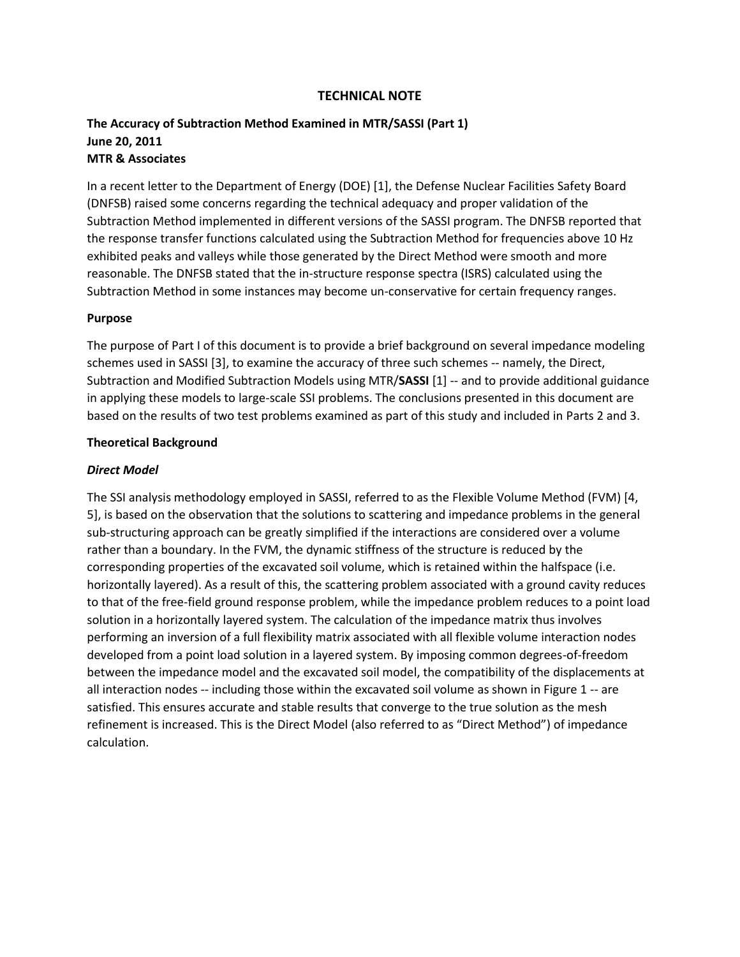### **TECHNICAL NOTE**

## **The Accuracy of Subtraction Method Examined in MTR/SASSI (Part 1) June 20, 2011 MTR & Associates**

In a recent letter to the Department of Energy (DOE) [\[1\]](#page-4-0), the Defense Nuclear Facilities Safety Board (DNFSB) raised some concerns regarding the technical adequacy and proper validation of the Subtraction Method implemented in different versions of the SASSI program. The DNFSB reported that the response transfer functions calculated using the Subtraction Method for frequencies above 10 Hz exhibited peaks and valleys while those generated by the Direct Method were smooth and more reasonable. The DNFSB stated that the in-structure response spectra (ISRS) calculated using the Subtraction Method in some instances may become un-conservative for certain frequency ranges.

#### **Purpose**

The purpose of Part I of this document is to provide a brief background on several impedance modeling schemes used in SASSI [\[3\]](#page-4-1), to examine the accuracy of three such schemes -- namely, the Direct, Subtraction and Modified Subtraction Models using MTR/**SASSI** [\[1\]](#page-4-2) -- and to provide additional guidance in applying these models to large-scale SSI problems. The conclusions presented in this document are based on the results of two test problems examined as part of this study and included in Parts 2 and 3.

#### **Theoretical Background**

#### *Direct Model*

The SSI analysis methodology employed in SASSI, referred to as the Flexible Volume Method (FVM) [\[4,](#page-4-3) [5\]](#page-4-4), is based on the observation that the solutions to scattering and impedance problems in the general sub-structuring approach can be greatly simplified if the interactions are considered over a volume rather than a boundary. In the FVM, the dynamic stiffness of the structure is reduced by the corresponding properties of the excavated soil volume, which is retained within the halfspace (i.e. horizontally layered). As a result of this, the scattering problem associated with a ground cavity reduces to that of the free-field ground response problem, while the impedance problem reduces to a point load solution in a horizontally layered system. The calculation of the impedance matrix thus involves performing an inversion of a full flexibility matrix associated with all flexible volume interaction nodes developed from a point load solution in a layered system. By imposing common degrees-of-freedom between the impedance model and the excavated soil model, the compatibility of the displacements at all interaction nodes -- including those within the excavated soil volume as shown in Figure 1 -- are satisfied. This ensures accurate and stable results that converge to the true solution as the mesh refinement is increased. This is the Direct Model (also referred to as "Direct Method") of impedance calculation.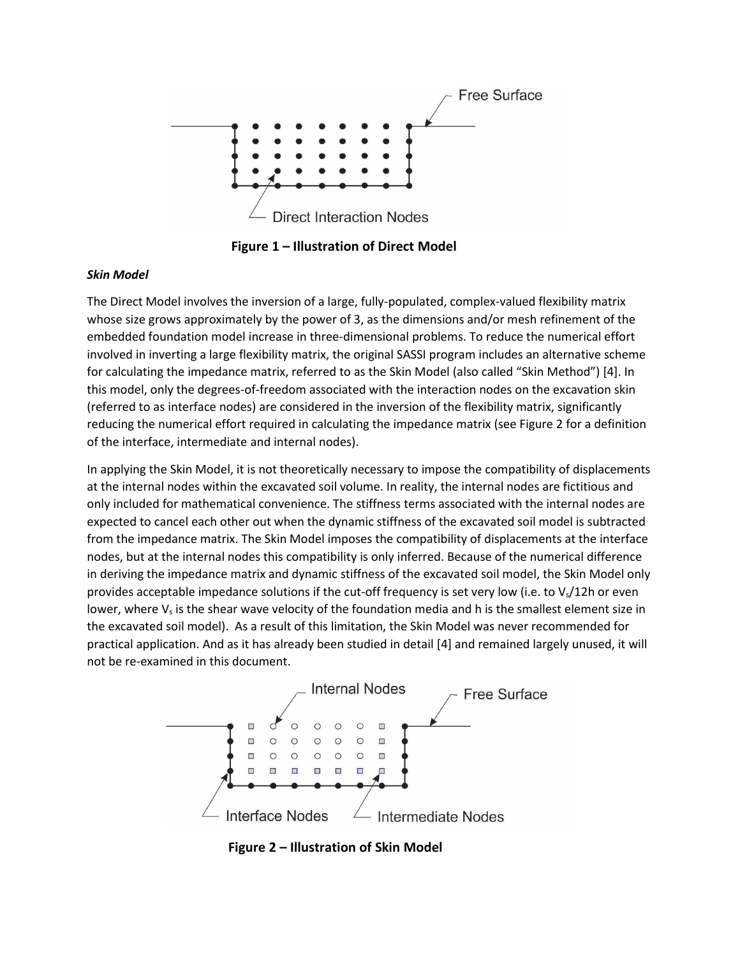

**Figure 1 – Illustration of Direct Model**

### *Skin Model*

The Direct Model involves the inversion of a large, fully-populated, complex-valued flexibility matrix whose size grows approximately by the power of 3, as the dimensions and/or mesh refinement of the embedded foundation model increase in three-dimensional problems. To reduce the numerical effort involved in inverting a large flexibility matrix, the original SASSI program includes an alternative scheme for calculating the impedance matrix, referred to as the Skin Model (also called "Skin Method") [\[4\]](#page-4-3). In this model, only the degrees-of-freedom associated with the interaction nodes on the excavation skin (referred to as interface nodes) are considered in the inversion of the flexibility matrix, significantly reducing the numerical effort required in calculating the impedance matrix (see Figure 2 for a definition of the interface, intermediate and internal nodes).

In applying the Skin Model, it is not theoretically necessary to impose the compatibility of displacements at the internal nodes within the excavated soil volume. In reality, the internal nodes are fictitious and only included for mathematical convenience. The stiffness terms associated with the internal nodes are expected to cancel each other out when the dynamic stiffness of the excavated soil model is subtracted from the impedance matrix. The Skin Model imposes the compatibility of displacements at the interface nodes, but at the internal nodes this compatibility is only inferred. Because of the numerical difference in deriving the impedance matrix and dynamic stiffness of the excavated soil model, the Skin Model only provides acceptable impedance solutions if the cut-off frequency is set very low (i.e. to V<sub>s</sub>/12h or even lower, where  $V_s$  is the shear wave velocity of the foundation media and h is the smallest element size in the excavated soil model). As a result of this limitation, the Skin Model was never recommended for practical application. And as it has already been studied in detail [\[4\]](#page-4-3) and remained largely unused, it will not be re-examined in this document.



**Figure 2 – Illustration of Skin Model**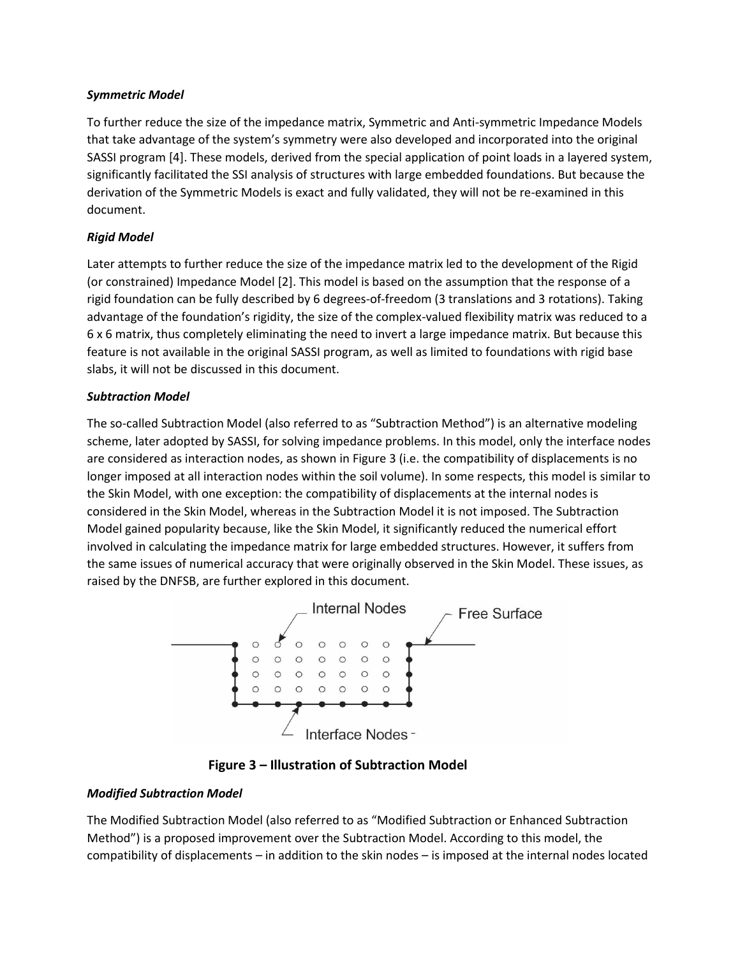### *Symmetric Model*

To further reduce the size of the impedance matrix, Symmetric and Anti-symmetric Impedance Models that take advantage of the system's symmetry were also developed and incorporated into the original SASSI program [\[4\]](#page-4-3). These models, derived from the special application of point loads in a layered system, significantly facilitated the SSI analysis of structures with large embedded foundations. But because the derivation of the Symmetric Models is exact and fully validated, they will not be re-examined in this document.

## *Rigid Model*

Later attempts to further reduce the size of the impedance matrix led to the development of the Rigid (or constrained) Impedance Model [\[2\]](#page-4-5). This model is based on the assumption that the response of a rigid foundation can be fully described by 6 degrees-of-freedom (3 translations and 3 rotations). Taking advantage of the foundation's rigidity, the size of the complex-valued flexibility matrix was reduced to a 6 x 6 matrix, thus completely eliminating the need to invert a large impedance matrix. But because this feature is not available in the original SASSI program, as well as limited to foundations with rigid base slabs, it will not be discussed in this document.

## *Subtraction Model*

The so-called Subtraction Model (also referred to as "Subtraction Method") is an alternative modeling scheme, later adopted by SASSI, for solving impedance problems. In this model, only the interface nodes are considered as interaction nodes, as shown in Figure 3 (i.e. the compatibility of displacements is no longer imposed at all interaction nodes within the soil volume). In some respects, this model is similar to the Skin Model, with one exception: the compatibility of displacements at the internal nodes is considered in the Skin Model, whereas in the Subtraction Model it is not imposed. The Subtraction Model gained popularity because, like the Skin Model, it significantly reduced the numerical effort involved in calculating the impedance matrix for large embedded structures. However, it suffers from the same issues of numerical accuracy that were originally observed in the Skin Model. These issues, as raised by the DNFSB, are further explored in this document.



 **Figure 3 – Illustration of Subtraction Model**

## *Modified Subtraction Model*

The Modified Subtraction Model (also referred to as "Modified Subtraction or Enhanced Subtraction Method") is a proposed improvement over the Subtraction Model. According to this model, the compatibility of displacements – in addition to the skin nodes – is imposed at the internal nodes located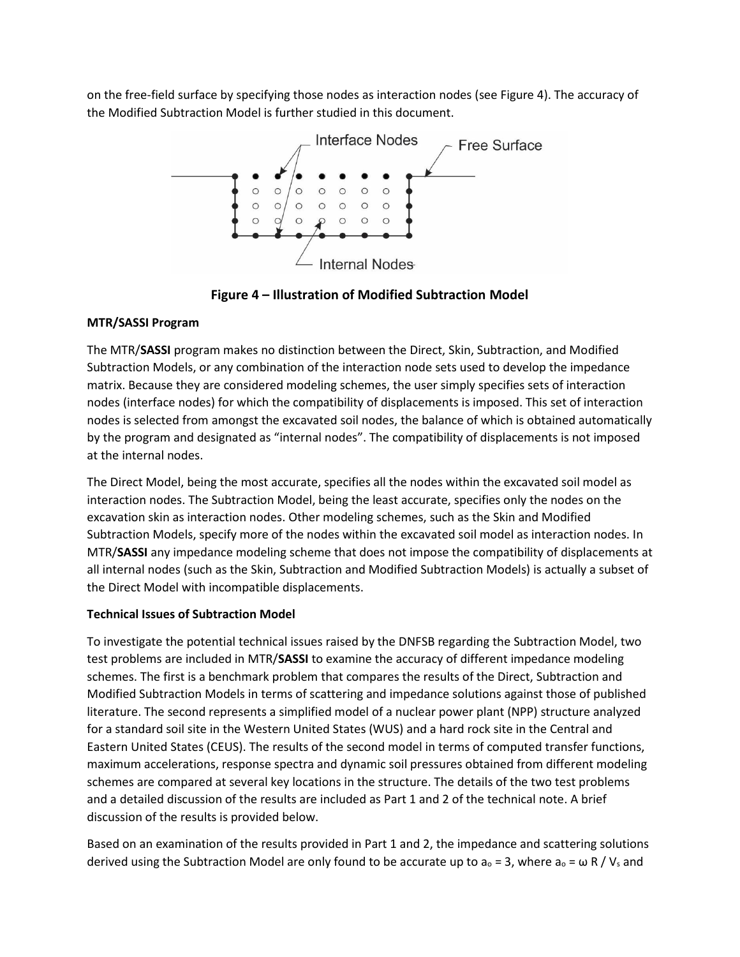on the free-field surface by specifying those nodes as interaction nodes (see Figure 4). The accuracy of the Modified Subtraction Model is further studied in this document.



**Figure 4 – Illustration of Modified Subtraction Model**

# **MTR/SASSI Program**

The MTR/**SASSI** program makes no distinction between the Direct, Skin, Subtraction, and Modified Subtraction Models, or any combination of the interaction node sets used to develop the impedance matrix. Because they are considered modeling schemes, the user simply specifies sets of interaction nodes (interface nodes) for which the compatibility of displacements is imposed. This set of interaction nodes is selected from amongst the excavated soil nodes, the balance of which is obtained automatically by the program and designated as "internal nodes". The compatibility of displacements is not imposed at the internal nodes.

The Direct Model, being the most accurate, specifies all the nodes within the excavated soil model as interaction nodes. The Subtraction Model, being the least accurate, specifies only the nodes on the excavation skin as interaction nodes. Other modeling schemes, such as the Skin and Modified Subtraction Models, specify more of the nodes within the excavated soil model as interaction nodes. In MTR/**SASSI** any impedance modeling scheme that does not impose the compatibility of displacements at all internal nodes (such as the Skin, Subtraction and Modified Subtraction Models) is actually a subset of the Direct Model with incompatible displacements.

## **Technical Issues of Subtraction Model**

To investigate the potential technical issues raised by the DNFSB regarding the Subtraction Model, two test problems are included in MTR/**SASSI** to examine the accuracy of different impedance modeling schemes. The first is a benchmark problem that compares the results of the Direct, Subtraction and Modified Subtraction Models in terms of scattering and impedance solutions against those of published literature. The second represents a simplified model of a nuclear power plant (NPP) structure analyzed for a standard soil site in the Western United States (WUS) and a hard rock site in the Central and Eastern United States (CEUS). The results of the second model in terms of computed transfer functions, maximum accelerations, response spectra and dynamic soil pressures obtained from different modeling schemes are compared at several key locations in the structure. The details of the two test problems and a detailed discussion of the results are included as Part 1 and 2 of the technical note. A brief discussion of the results is provided below.

Based on an examination of the results provided in Part 1 and 2, the impedance and scattering solutions derived using the Subtraction Model are only found to be accurate up to  $a_0 = 3$ , where  $a_0 = \omega R / V_s$  and